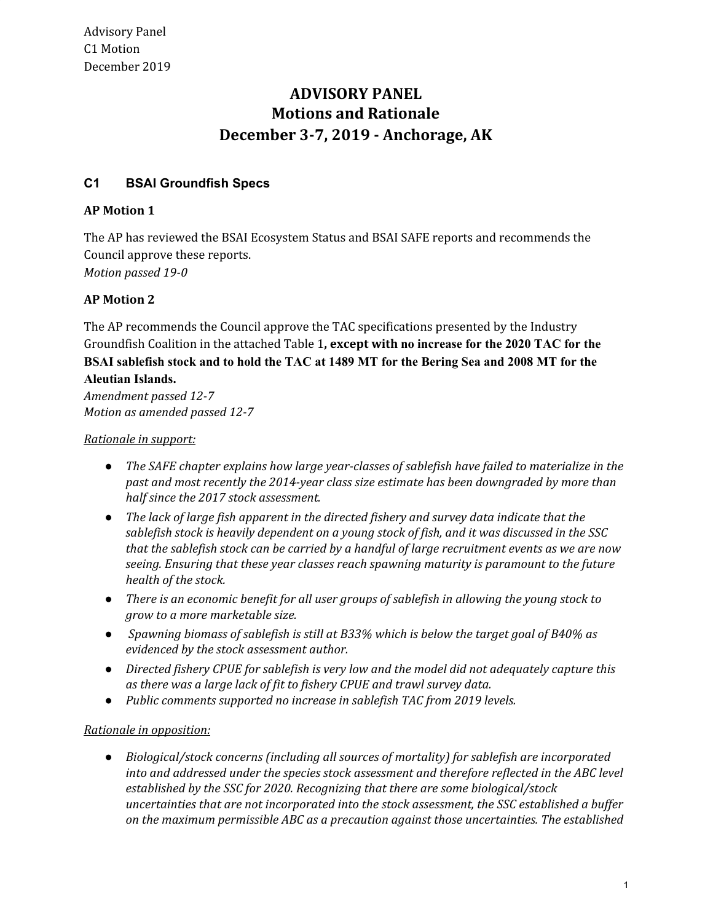# **ADVISORY PANEL Motions and Rationale December 3-7, 2019 - Anchorage, AK**

## **C1 BSAI Groundfish Specs**

## **AP Motion 1**

The AP has reviewed the BSAI Ecosystem Status and BSAI SAFE reports and recommends the Council approve these reports. *Motion passed 19-0*

## **AP Motion 2**

The AP recommends the Council approve the TAC specifications presented by the Industry Groundfish Coalition in the attached Table 1**, except with no increase for the 2020 TAC for the BSAI sablefish stock and to hold the TAC at 1489 MT for the Bering Sea and 2008 MT for the Aleutian Islands.**

*Amendment passed 12-7 Motion as amended passed 12-7*

## *Rationale in support:*

- *● The SAFE chapter explains how large year-classes of sablefish have failed to materialize in the past and most recently the 2014-year class size estimate has been downgraded by more than half since the 2017 stock assessment.*
- *● The lack of large fish apparent in the directed fishery and survey data indicate that the sablefish stock is heavily dependent on a young stock of fish, and it was discussed in the SSC that the sablefish stock can be carried by a handful of large recruitment events as we are now seeing. Ensuring that these year classes reach spawning maturity is paramount to the future health of the stock.*
- *● There is an economic benefit for all user groups of sablefish in allowing the young stock to grow to a more marketable size.*
- *● Spawning biomass of sablefish is still at B33% which is below the target goal of B40% as evidenced by the stock assessment author.*
- *Directed fishery CPUE for sablefish is very low and the model did not adequately capture this as there was a large lack of fit to fishery CPUE and trawl survey data.*
- *Public comments supported no increase in sablefish TAC from 2019 levels.*

## *Rationale in opposition:*

*● Biological/stock concerns (including all sources of mortality) for sablefish are incorporated into and addressed under the species stock assessment and therefore reflected in the ABC level established by the SSC for 2020. Recognizing that there are some biological/stock uncertainties that are not incorporated into the stock assessment, the SSC established a buffer on the maximum permissible ABC as a precaution against those uncertainties. The established*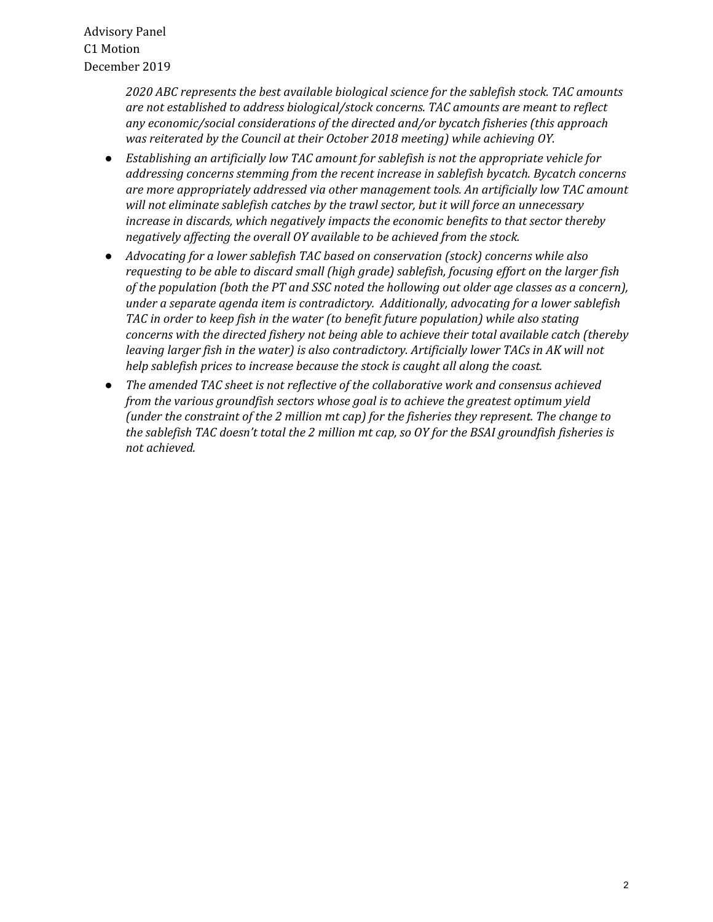Advisory Panel C1 Motion December 2019

> *2020 ABC represents the best available biological science for the sablefish stock. TAC amounts are not established to address biological/stock concerns. TAC amounts are meant to reflect any economic/social considerations of the directed and/or bycatch fisheries (this approach was reiterated by the Council at their October 2018 meeting) while achieving OY.*

- *● Establishing an artificially low TAC amount for sablefish is not the appropriate vehicle for addressing concerns stemming from the recent increase in sablefish bycatch. Bycatch concerns are more appropriately addressed via other management tools. An artificially low TAC amount will not eliminate sablefish catches by the trawl sector, but it will force an unnecessary increase in discards, which negatively impacts the economic benefits to that sector thereby negatively affecting the overall OY available to be achieved from the stock.*
- *● Advocating for a lower sablefish TAC based on conservation (stock) concerns while also requesting to be able to discard small (high grade) sablefish, focusing effort on the larger fish of the population (both the PT and SSC noted the hollowing out older age classes as a concern), under a separate agenda item is contradictory. Additionally, advocating for a lower sablefish TAC in order to keep fish in the water (to benefit future population) while also stating concerns with the directed fishery not being able to achieve their total available catch (thereby leaving larger fish in the water) is also contradictory. Artificially lower TACs in AK will not help sablefish prices to increase because the stock is caught all along the coast.*
- *● The amended TAC sheet is not reflective of the collaborative work and consensus achieved from the various groundfish sectors whose goal is to achieve the greatest optimum yield (under the constraint of the 2 million mt cap) for the fisheries they represent. The change to the sablefish TAC doesn't total the 2 million mt cap, so OY for the BSAI groundfish fisheries is not achieved.*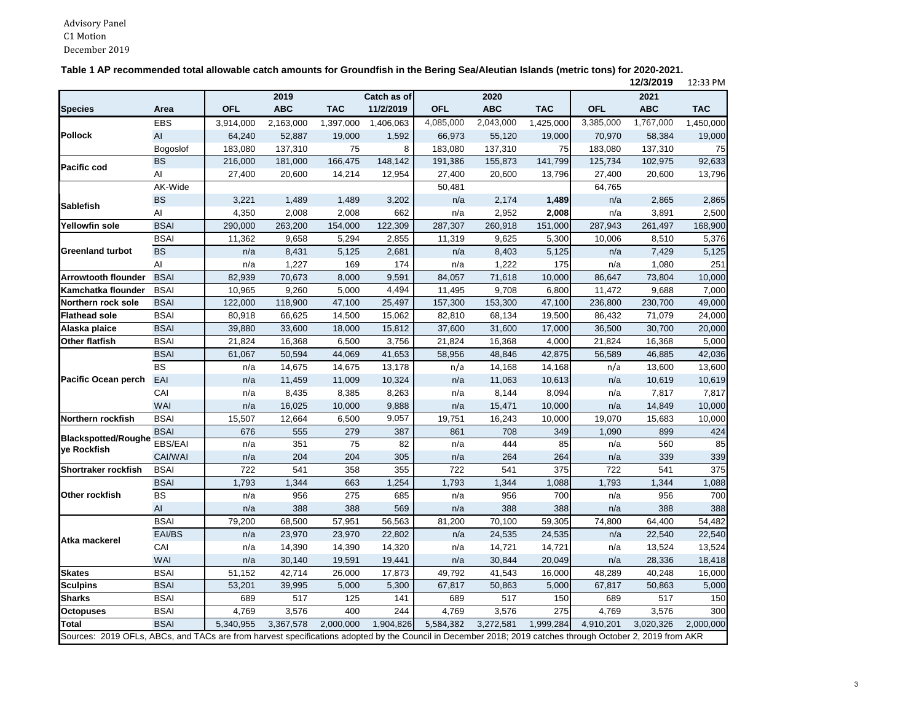C h A i

| Table 1 AP recommended total allowable catch amounts for Groundfish in the Bering Sea/Aleutian Islands (metric tons) for 2020-2021. |
|-------------------------------------------------------------------------------------------------------------------------------------|
| 101010010                                                                                                                           |

|                                                                                                                                                           |             |            |            |            |             |            |            |            |            | 12/3/2019  | 12:33 PM   |
|-----------------------------------------------------------------------------------------------------------------------------------------------------------|-------------|------------|------------|------------|-------------|------------|------------|------------|------------|------------|------------|
|                                                                                                                                                           |             |            | 2019       |            | Catch as of |            | 2020       |            |            | 2021       |            |
| <b>Species</b>                                                                                                                                            | Area        | <b>OFL</b> | <b>ABC</b> | <b>TAC</b> | 11/2/2019   | <b>OFL</b> | <b>ABC</b> | <b>TAC</b> | <b>OFL</b> | <b>ABC</b> | <b>TAC</b> |
|                                                                                                                                                           | <b>EBS</b>  | 3,914,000  | 2,163,000  | 1,397,000  | 1,406,063   | 4,085,000  | 2,043,000  | 1,425,000  | 3,385,000  | 1,767,000  | 1,450,000  |
| <b>Pollock</b>                                                                                                                                            | AI          | 64,240     | 52,887     | 19,000     | 1,592       | 66,973     | 55,120     | 19,000     | 70,970     | 58,384     | 19,000     |
|                                                                                                                                                           | Bogoslof    | 183,080    | 137,310    | 75         | 8           | 183,080    | 137,310    | 75         | 183,080    | 137,310    | 75         |
| <b>Pacific cod</b>                                                                                                                                        | <b>BS</b>   | 216,000    | 181,000    | 166,475    | 148,142     | 191,386    | 155,873    | 141,799    | 125,734    | 102,975    | 92,633     |
|                                                                                                                                                           | AI          | 27,400     | 20,600     | 14,214     | 12,954      | 27,400     | 20,600     | 13,796     | 27,400     | 20,600     | 13,796     |
|                                                                                                                                                           | AK-Wide     |            |            |            |             | 50,481     |            |            | 64,765     |            |            |
|                                                                                                                                                           | <b>BS</b>   | 3,221      | 1,489      | 1,489      | 3,202       | n/a        | 2,174      | 1,489      | n/a        | 2,865      | 2,865      |
| <b>Sablefish</b>                                                                                                                                          | AI          | 4,350      | 2,008      | 2,008      | 662         | n/a        | 2,952      | 2,008      | n/a        | 3,891      | 2,500      |
| <b>Yellowfin sole</b>                                                                                                                                     | <b>BSAI</b> | 290,000    | 263,200    | 154,000    | 122,309     | 287,307    | 260,918    | 151,000    | 287,943    | 261,497    | 168,900    |
|                                                                                                                                                           | <b>BSAI</b> | 11,362     | 9,658      | 5,294      | 2,855       | 11,319     | 9,625      | 5,300      | 10,006     | 8,510      | 5,376      |
| <b>Greenland turbot</b>                                                                                                                                   | <b>BS</b>   | n/a        | 8,431      | 5,125      | 2,681       | n/a        | 8,403      | 5,125      | n/a        | 7,429      | 5,125      |
|                                                                                                                                                           | AI          | n/a        | 1,227      | 169        | 174         | n/a        | 1,222      | 175        | n/a        | 1,080      | 251        |
| <b>Arrowtooth flounder</b>                                                                                                                                | <b>BSAI</b> | 82,939     | 70,673     | 8,000      | 9,591       | 84,057     | 71,618     | 10,000     | 86,647     | 73,804     | 10,000     |
| Kamchatka flounder                                                                                                                                        | <b>BSAI</b> | 10,965     | 9,260      | 5,000      | 4,494       | 11,495     | 9,708      | 6,800      | 11,472     | 9,688      | 7,000      |
| Northern rock sole                                                                                                                                        | <b>BSAI</b> | 122,000    | 118,900    | 47,100     | 25,497      | 157,300    | 153,300    | 47,100     | 236,800    | 230,700    | 49,000     |
| <b>Flathead sole</b>                                                                                                                                      | <b>BSAI</b> | 80,918     | 66,625     | 14,500     | 15,062      | 82,810     | 68,134     | 19,500     | 86,432     | 71,079     | 24,000     |
| Alaska plaice                                                                                                                                             | <b>BSAI</b> | 39,880     | 33,600     | 18,000     | 15,812      | 37,600     | 31,600     | 17,000     | 36,500     | 30,700     | 20,000     |
| <b>Other flatfish</b>                                                                                                                                     | <b>BSAI</b> | 21,824     | 16,368     | 6,500      | 3,756       | 21,824     | 16,368     | 4,000      | 21,824     | 16,368     | 5,000      |
|                                                                                                                                                           | <b>BSAI</b> | 61,067     | 50,594     | 44,069     | 41,653      | 58,956     | 48,846     | 42,875     | 56,589     | 46,885     | 42,036     |
|                                                                                                                                                           | <b>BS</b>   | n/a        | 14,675     | 14,675     | 13,178      | n/a        | 14,168     | 14,168     | n/a        | 13,600     | 13,600     |
| <b>Pacific Ocean perch</b>                                                                                                                                | EAI         | n/a        | 11,459     | 11,009     | 10,324      | n/a        | 11,063     | 10,613     | n/a        | 10,619     | 10,619     |
|                                                                                                                                                           | CAI         | n/a        | 8,435      | 8,385      | 8,263       | n/a        | 8,144      | 8,094      | n/a        | 7,817      | 7,817      |
|                                                                                                                                                           | WAI         | n/a        | 16,025     | 10,000     | 9,888       | n/a        | 15,471     | 10,000     | n/a        | 14,849     | 10,000     |
| Northern rockfish                                                                                                                                         | <b>BSAI</b> | 15,507     | 12,664     | 6,500      | 9,057       | 19,751     | 16,243     | 10,000     | 19,070     | 15,683     | 10,000     |
|                                                                                                                                                           | <b>BSAI</b> | 676        | 555        | 279        | 387         | 861        | 708        | 349        | 1,090      | 899        | 424        |
| <b>Blackspotted/Roughe</b>                                                                                                                                | EBS/EAI     | n/a        | 351        | 75         | 82          | n/a        | 444        | 85         | n/a        | 560        | 85         |
| ye Rockfish                                                                                                                                               | CAI/WAI     | n/a        | 204        | 204        | 305         | n/a        | 264        | 264        | n/a        | 339        | 339        |
| <b>Shortraker rockfish</b>                                                                                                                                | <b>BSAI</b> | 722        | 541        | 358        | 355         | 722        | 541        | 375        | 722        | 541        | 375        |
|                                                                                                                                                           | <b>BSAI</b> | 1,793      | 1,344      | 663        | 1,254       | 1,793      | 1,344      | 1,088      | 1,793      | 1,344      | 1,088      |
| Other rockfish                                                                                                                                            | <b>BS</b>   | n/a        | 956        | 275        | 685         | n/a        | 956        | 700        | n/a        | 956        | 700        |
|                                                                                                                                                           | AI          | n/a        | 388        | 388        | 569         | n/a        | 388        | 388        | n/a        | 388        | 388        |
|                                                                                                                                                           | <b>BSAI</b> | 79,200     | 68,500     | 57,951     | 56,563      | 81,200     | 70,100     | 59,305     | 74,800     | 64,400     | 54,482     |
|                                                                                                                                                           | EAI/BS      | n/a        | 23,970     | 23,970     | 22,802      | n/a        | 24,535     | 24,535     | n/a        | 22,540     | 22,540     |
| Atka mackerel                                                                                                                                             | CAI         | n/a        | 14,390     | 14,390     | 14,320      | n/a        | 14,721     | 14,721     | n/a        | 13,524     | 13,524     |
|                                                                                                                                                           | <b>WAI</b>  | n/a        | 30,140     | 19,591     | 19,441      | n/a        | 30,844     | 20,049     | n/a        | 28,336     | 18,418     |
| <b>Skates</b>                                                                                                                                             | <b>BSAI</b> | 51,152     | 42,714     | 26,000     | 17,873      | 49,792     | 41,543     | 16,000     | 48,289     | 40,248     | 16,000     |
| <b>Sculpins</b>                                                                                                                                           | <b>BSAI</b> | 53,201     | 39,995     | 5,000      | 5,300       | 67,817     | 50,863     | 5,000      | 67,817     | 50,863     | 5,000      |
| <b>Sharks</b>                                                                                                                                             | <b>BSAI</b> | 689        | 517        | 125        | 141         | 689        | 517        | 150        | 689        | 517        | 150        |
| <b>Octopuses</b>                                                                                                                                          | <b>BSAI</b> | 4,769      | 3,576      | 400        | 244         | 4,769      | 3,576      | 275        | 4,769      | 3,576      | 300        |
| <b>Total</b>                                                                                                                                              | <b>BSAI</b> | 5,340,955  | 3,367,578  | 2,000,000  | 1,904,826   | 5,584,382  | 3,272,581  | 1,999,284  | 4,910,201  | 3,020,326  | 2,000,000  |
| Sources: 2019 OFLs, ABCs, and TACs are from harvest specifications adopted by the Council in December 2018; 2019 catches through October 2, 2019 from AKR |             |            |            |            |             |            |            |            |            |            |            |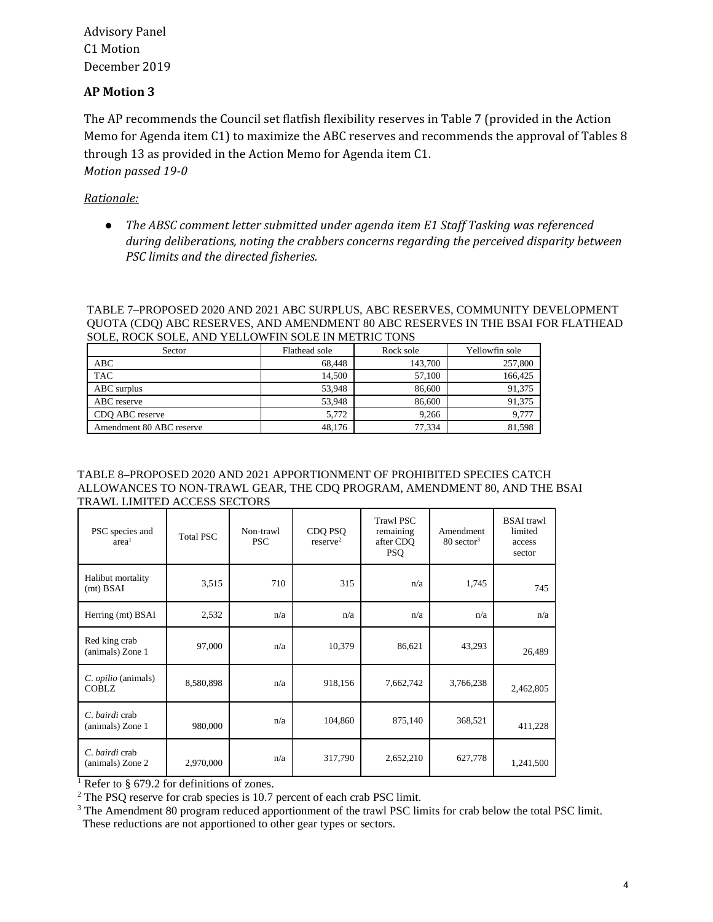Advisory Panel C1 Motion December 2019

### **AP Motion 3**

The AP recommends the Council set flatfish flexibility reserves in Table 7 (provided in the Action Memo for Agenda item C1) to maximize the ABC reserves and recommends the approval of Tables 8 through 13 as provided in the Action Memo for Agenda item C1. *Motion passed 19-0*

## *Rationale:*

*● The ABSC comment letter submitted under agenda item E1 Staff Tasking was referenced during deliberations, noting the crabbers concerns regarding the perceived disparity between PSC limits and the directed fisheries.*

#### TABLE 7–PROPOSED 2020 AND 2021 ABC SURPLUS, ABC RESERVES, COMMUNITY DEVELOPMENT QUOTA (CDQ) ABC RESERVES, AND AMENDMENT 80 ABC RESERVES IN THE BSAI FOR FLATHEAD SOLE, ROCK SOLE, AND YELLOWFIN SOLE IN METRIC TONS

| Sector                   | Flathead sole | Rock sole | Yellowfin sole |
|--------------------------|---------------|-----------|----------------|
| ABC                      | 68.448        | 143.700   | 257,800        |
| <b>TAC</b>               | 14.500        | 57,100    | 166.425        |
| ABC surplus              | 53.948        | 86,600    | 91,375         |
| ABC reserve              | 53.948        | 86,600    | 91,375         |
| CDO ABC reserve          | 5,772         | 9.266     | 9,777          |
| Amendment 80 ABC reserve | 48.176        | 77.334    | 81.598         |

#### TABLE 8–PROPOSED 2020 AND 2021 APPORTIONMENT OF PROHIBITED SPECIES CATCH ALLOWANCES TO NON-TRAWL GEAR, THE CDQ PROGRAM, AMENDMENT 80, AND THE BSAI TRAWL LIMITED ACCESS SECTORS

| PSC species and<br>area <sup>1</sup> | <b>Total PSC</b> | Non-trawl<br><b>PSC</b> | CDQ PSQ<br>reserve <sup>2</sup> | <b>Trawl PSC</b><br>remaining<br>after CDO<br><b>PSQ</b> | Amendment<br>$80 \text{ sector}^3$ | <b>BSAI</b> trawl<br>limited<br>access<br>sector |
|--------------------------------------|------------------|-------------------------|---------------------------------|----------------------------------------------------------|------------------------------------|--------------------------------------------------|
| Halibut mortality<br>$(mt)$ BSAI     | 3,515            | 710                     | 315                             | n/a                                                      | 1,745                              | 745                                              |
| Herring (mt) BSAI                    | 2,532            | n/a                     | n/a                             | n/a                                                      | n/a                                | n/a                                              |
| Red king crab<br>(animals) Zone 1    | 97,000           | n/a                     | 10,379                          | 86,621                                                   | 43,293                             | 26,489                                           |
| C. opilio (animals)<br><b>COBLZ</b>  | 8,580,898        | n/a                     | 918,156                         | 7,662,742                                                | 3,766,238                          | 2,462,805                                        |
| C. bairdi crab<br>(animals) Zone 1   | 980,000          | n/a                     | 104,860                         | 875,140                                                  | 368,521                            | 411,228                                          |
| C. bairdi crab<br>(animals) Zone 2   | 2,970,000        | n/a                     | 317,790                         | 2,652,210                                                | 627,778                            | 1,241,500                                        |

<sup>1</sup> Refer to § 679.2 for definitions of zones.

<sup>2</sup> The PSQ reserve for crab species is 10.7 percent of each crab PSC limit.

<sup>3</sup> The Amendment 80 program reduced apportionment of the trawl PSC limits for crab below the total PSC limit. These reductions are not apportioned to other gear types or sectors.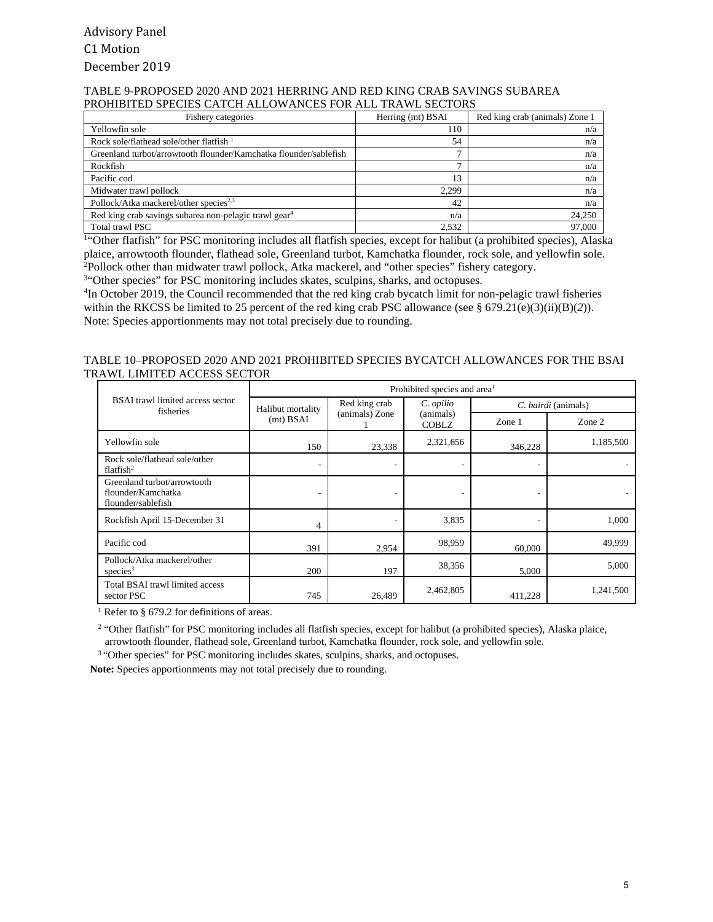#### TABLE 9-PROPOSED 2020 AND 2021 HERRING AND RED KING CRAB SAVINGS SUBAREA PROHIBITED SPECIES CATCH ALLOWANCES FOR ALL TRAWL SECTORS

| Fishery categories                                                | Herring (mt) BSAI | Red king crab (animals) Zone 1 |
|-------------------------------------------------------------------|-------------------|--------------------------------|
| Yellowfin sole                                                    | 110               | n/a                            |
| Rock sole/flathead sole/other flatfish $1$                        | 54                | n/a                            |
| Greenland turbot/arrowtooth flounder/Kamchatka flounder/sablefish | −                 | n/a                            |
| Rockfish                                                          |                   | n/a                            |
| Pacific cod                                                       | 13                | n/a                            |
| Midwater trawl pollock                                            | 2.299             | n/a                            |
| Pollock/Atka mackerel/other species <sup>2,3</sup>                | 42                | n/a                            |
| Red king crab savings subarea non-pelagic trawl gear <sup>4</sup> | n/a               | 24,250                         |
| Total trawl PSC                                                   | 2.532             | 97,000                         |

<sup>1</sup>"Other flatfish" for PSC monitoring includes all flatfish species, except for halibut (a prohibited species), Alaska plaice, arrowtooth flounder, flathead sole, Greenland turbot, Kamchatka flounder, rock sole, and yellowfin sole. 2 Pollock other than midwater trawl pollock, Atka mackerel, and "other species" fishery category.

<sup>34</sup>Other species" for PSC monitoring includes skates, sculpins, sharks, and octopuses.

<sup>4</sup>In October 2019, the Council recommended that the red king crab bycatch limit for non-pelagic trawl fisheries within the RKCSS be limited to 25 percent of the red king crab PSC allowance (see § 679.21(e)(3)(ii)(B)(2)). Note: Species apportionments may not total precisely due to rounding.

#### TABLE 10–PROPOSED 2020 AND 2021 PROHIBITED SPECIES BYCATCH ALLOWANCES FOR THE BSAI TRAWL LIMITED ACCESS SECTOR

|                                                                         | Prohibited species and area <sup>1</sup> |                                                                                                             |           |                     |           |  |
|-------------------------------------------------------------------------|------------------------------------------|-------------------------------------------------------------------------------------------------------------|-----------|---------------------|-----------|--|
| <b>BSAI</b> trawl limited access sector<br>fisheries                    |                                          | Red king crab<br>C. opilio<br>Halibut mortality<br>(animals) Zone<br>(animals)<br>(mt) BSAI<br><b>COBLZ</b> |           | C. bairdi (animals) |           |  |
|                                                                         |                                          |                                                                                                             |           | Zone $1$            | Zone 2    |  |
| Yellowfin sole                                                          | 150                                      | 23,338                                                                                                      | 2,321,656 | 346,228             | 1,185,500 |  |
| Rock sole/flathead sole/other<br>flatfish $2$                           |                                          |                                                                                                             |           |                     |           |  |
| Greenland turbot/arrowtooth<br>flounder/Kamchatka<br>flounder/sablefish |                                          |                                                                                                             |           |                     |           |  |
| Rockfish April 15-December 31                                           | 4                                        |                                                                                                             | 3,835     |                     | 1,000     |  |
| Pacific cod                                                             | 391                                      | 2,954                                                                                                       | 98,959    | 60,000              | 49,999    |  |
| Pollock/Atka mackerel/other<br>species $3$                              | 200                                      | 197                                                                                                         | 38,356    | 5,000               | 5,000     |  |
| Total BSAI trawl limited access<br>sector PSC                           | 745                                      | 26,489                                                                                                      | 2,462,805 | 411,228             | 1,241,500 |  |

<sup>1</sup> Refer to § 679.2 for definitions of areas.

<sup>2</sup> "Other flatfish" for PSC monitoring includes all flatfish species, except for halibut (a prohibited species), Alaska plaice, arrowtooth flounder, flathead sole, Greenland turbot, Kamchatka flounder, rock sole, and yellowfin sole.

<sup>3</sup> "Other species" for PSC monitoring includes skates, sculpins, sharks, and octopuses.

**Note:** Species apportionments may not total precisely due to rounding.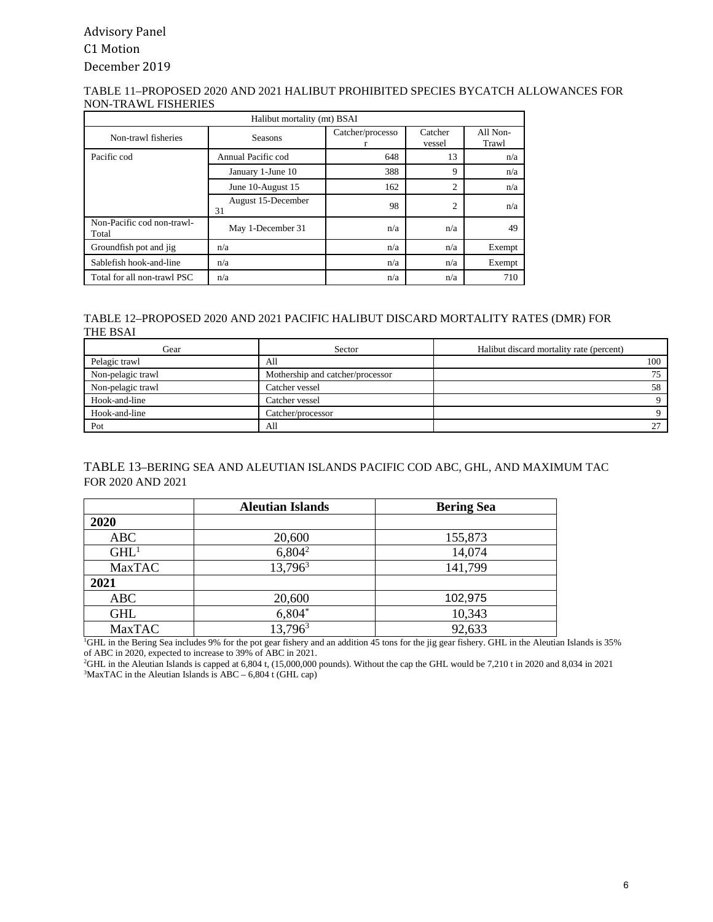## Advisory Panel C1 Motion December 2019

#### TABLE 11–PROPOSED 2020 AND 2021 HALIBUT PROHIBITED SPECIES BYCATCH ALLOWANCES FOR NON-TRAWL FISHERIES

| Halibut mortality (mt) BSAI         |                          |                  |                   |                   |
|-------------------------------------|--------------------------|------------------|-------------------|-------------------|
| Non-trawl fisheries                 | <b>Seasons</b>           | Catcher/processo | Catcher<br>vessel | All Non-<br>Trawl |
| Pacific cod                         | Annual Pacific cod       | 648              | 13                | n/a               |
|                                     | January 1-June 10        | 388              | 9                 | n/a               |
|                                     | June 10-August 15        | 162              | $\overline{2}$    | n/a               |
|                                     | August 15-December<br>31 | 98               | $\overline{2}$    | n/a               |
| Non-Pacific cod non-trawl-<br>Total | May 1-December 31        | n/a              | n/a               | 49                |
| Groundfish pot and jig              | n/a                      | n/a              | n/a               | Exempt            |
| Sablefish hook-and-line             | n/a                      | n/a              | n/a               | Exempt            |
| Total for all non-trawl PSC         | n/a                      | n/a              | n/a               | 710               |

#### TABLE 12–PROPOSED 2020 AND 2021 PACIFIC HALIBUT DISCARD MORTALITY RATES (DMR) FOR THE BSAI

| Gear              | Sector                           | Halibut discard mortality rate (percent) |
|-------------------|----------------------------------|------------------------------------------|
| Pelagic trawl     | All                              | 100                                      |
| Non-pelagic trawl | Mothership and catcher/processor |                                          |
| Non-pelagic trawl | Catcher vessel                   | 58                                       |
| Hook-and-line     | Catcher vessel                   |                                          |
| Hook-and-line     | Catcher/processor                |                                          |
| Pot               | All                              |                                          |

### TABLE 13–BERING SEA AND ALEUTIAN ISLANDS PACIFIC COD ABC, GHL, AND MAXIMUM TAC FOR 2020 AND 2021

|                  | <b>Aleutian Islands</b> | <b>Bering Sea</b> |
|------------------|-------------------------|-------------------|
| 2020             |                         |                   |
| ABC              | 20,600                  | 155,873           |
| GHL <sup>1</sup> | $6,804^2$               | 14,074            |
| <b>MaxTAC</b>    | 13,796 <sup>3</sup>     | 141,799           |
| 2021             |                         |                   |
| <b>ABC</b>       | 20,600                  | 102,975           |
| <b>GHL</b>       | $6,804*$                | 10,343            |
| <b>MaxTAC</b>    | $13,796^3$              | 92,633            |

1 GHL in the Bering Sea includes 9% for the pot gear fishery and an addition 45 tons for the jig gear fishery. GHL in the Aleutian Islands is 35% of ABC in 2020, expected to increase to 39% of ABC in 2021.

2 GHL in the Aleutian Islands is capped at 6,804 t, (15,000,000 pounds). Without the cap the GHL would be 7,210 t in 2020 and 8,034 in 2021  $3$ MaxTAC in the Aleutian Islands is ABC – 6,804 t (GHL cap)